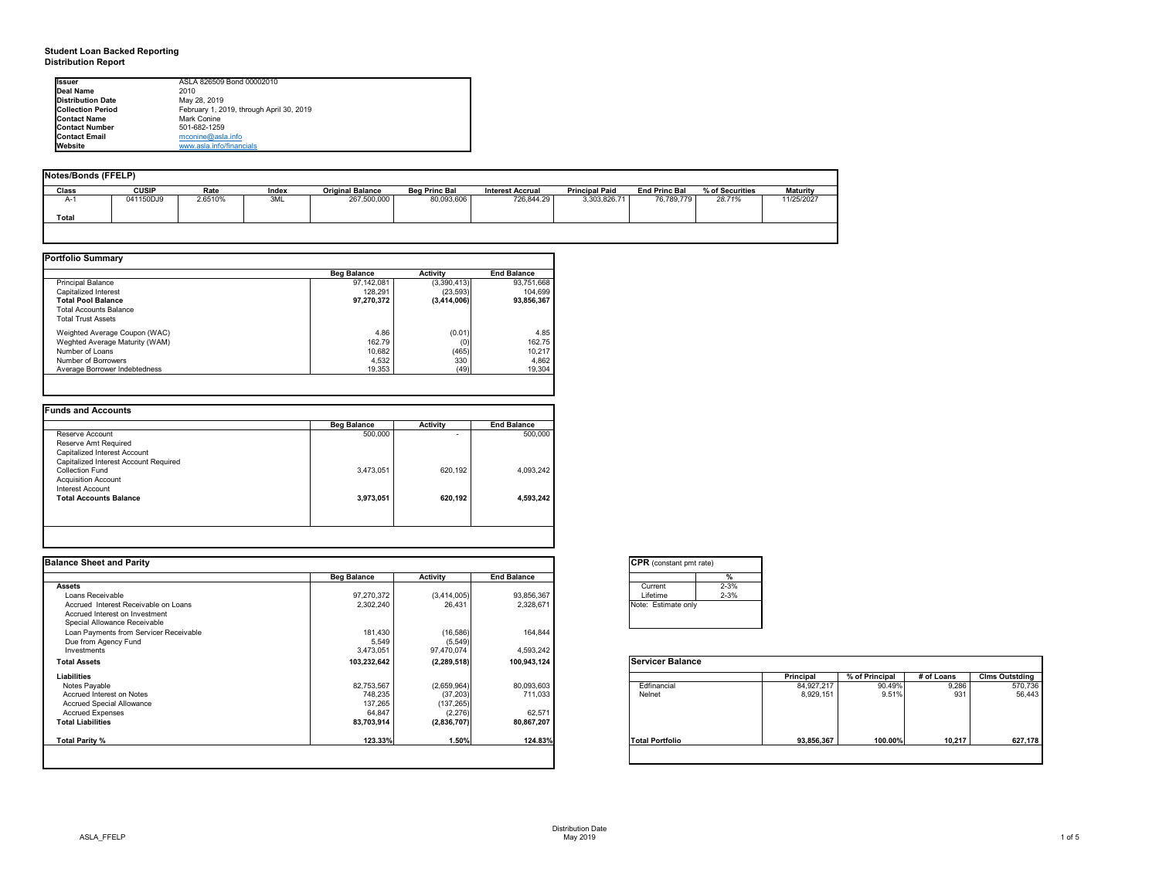# **Student Loan Backed Reporting Distribution Report**

## **Notes/Bonds (FFELP)**

| Notes/Bonds (FFELP) |              |         |       |                         |                      |                         |                       |                      |                 |                 |
|---------------------|--------------|---------|-------|-------------------------|----------------------|-------------------------|-----------------------|----------------------|-----------------|-----------------|
| Class               | <b>CUSIP</b> | Rate    | Index | <b>Original Balance</b> | <b>Beg Princ Bal</b> | <b>Interest Accrual</b> | <b>Principal Paid</b> | <b>End Princ Bal</b> | % of Securities | <b>Maturity</b> |
| A-1                 | 041150DJ9    | 2.6510% | 3ML   | 267,500,000             | 80,093,606           | 726,844.29              | 3,303,826.71          | 76,789,779           | 28.71%          | 11/25/2027      |
| <b>Total</b>        |              |         |       |                         |                      |                         |                       |                      |                 |                 |
|                     |              |         |       |                         |                      |                         |                       |                      |                 |                 |

|                                | <b>Beg Balance</b> | <b>Activity</b> | <b>End Balance</b> |
|--------------------------------|--------------------|-----------------|--------------------|
| <b>Principal Balance</b>       | 97,142,081         | (3,390,413)     | 93,751,668         |
|                                |                    |                 |                    |
| Capitalized Interest           | 128,291            | (23, 593)       | 104,699            |
| <b>Total Pool Balance</b>      | 97,270,372         | (3,414,006)     | 93,856,367         |
| <b>Total Accounts Balance</b>  |                    |                 |                    |
| <b>Total Trust Assets</b>      |                    |                 |                    |
| Weighted Average Coupon (WAC)  | 4.86               | (0.01)          | 4.85               |
| Weghted Average Maturity (WAM) | 162.79             | (0)             | 162.75             |
| Number of Loans                | 10,682             | (465)           | 10,217             |
| Number of Borrowers            | 4,532              | 330             | 4,862              |
| Average Borrower Indebtedness  | 19,353             | (49)            | 19,304             |

|                                       | <b>Beg Balance</b> | <b>Activity</b> | <b>End Balance</b> |
|---------------------------------------|--------------------|-----------------|--------------------|
| Reserve Account                       | 500,000            | -               | 500,000            |
| Reserve Amt Required                  |                    |                 |                    |
| Capitalized Interest Account          |                    |                 |                    |
| Capitalized Interest Account Required |                    |                 |                    |
| <b>Collection Fund</b>                | 3,473,051          | 620,192         | 4,093,242          |
| <b>Acquisition Account</b>            |                    |                 |                    |
| Interest Account                      |                    |                 |                    |
| <b>Total Accounts Balance</b>         | 3,973,051          | 620,192         | 4,593,242          |
|                                       |                    |                 |                    |
|                                       |                    |                 |                    |

| <b>Issuer</b>            | ASLA 826509 Bond 00002010                |
|--------------------------|------------------------------------------|
| Deal Name                | 2010                                     |
| <b>Distribution Date</b> | May 28, 2019                             |
| <b>Collection Period</b> | February 1, 2019, through April 30, 2019 |
| <b>Contact Name</b>      | Mark Conine                              |
| <b>IContact Number</b>   | 501-682-1259                             |
| <b>IContact Email</b>    | mconine@asla.info                        |
| <b>Website</b>           | www.asla.info/financials                 |

| <b>End Balance</b><br>93,856,367<br>2,328,671<br>164,844<br>4,593,242<br>100,943,124 | Current<br>Lifetime<br>Note: Estimate only<br><b>Servicer Balance</b> | %<br>$2 - 3%$<br>$2 - 3%$ | % of Principal |            | <b>Clms Outstding</b> |
|--------------------------------------------------------------------------------------|-----------------------------------------------------------------------|---------------------------|----------------|------------|-----------------------|
|                                                                                      |                                                                       |                           |                |            |                       |
|                                                                                      |                                                                       |                           |                |            |                       |
|                                                                                      |                                                                       |                           |                |            |                       |
|                                                                                      |                                                                       |                           |                |            |                       |
|                                                                                      |                                                                       |                           |                |            |                       |
|                                                                                      |                                                                       |                           |                |            |                       |
|                                                                                      |                                                                       |                           |                |            |                       |
|                                                                                      |                                                                       |                           |                |            |                       |
|                                                                                      |                                                                       |                           |                |            |                       |
|                                                                                      |                                                                       |                           |                |            |                       |
|                                                                                      |                                                                       | <b>Principal</b>          |                | # of Loans |                       |
| 80,093,603                                                                           | Edfinancial                                                           | 84,927,217                | 90.49%         | 9,286      | 570,736               |
| 711,033                                                                              | Nelnet                                                                | 8,929,151                 | 9.51%          | 931        | 56,443                |
|                                                                                      |                                                                       |                           |                |            |                       |
| 62,571                                                                               |                                                                       |                           |                |            |                       |
| 80,867,207                                                                           |                                                                       |                           |                |            |                       |
| 124.83%                                                                              | <b>Total Portfolio</b>                                                |                           | 100.00%        | 10,217     | 627,178               |
|                                                                                      |                                                                       |                           |                | 93,856,367 |                       |

| Curr  |  |
|-------|--|
| Lifet |  |
| Note: |  |
|       |  |
|       |  |

| onstant pmt rate) |          |  |  |  |  |  |  |
|-------------------|----------|--|--|--|--|--|--|
|                   | %        |  |  |  |  |  |  |
| nt.               | $2 - 3%$ |  |  |  |  |  |  |
| me                | $2 - 3%$ |  |  |  |  |  |  |
| stimate only      |          |  |  |  |  |  |  |
|                   |          |  |  |  |  |  |  |
|                   |          |  |  |  |  |  |  |

|          | Principal  | % of Principal | # of Loans | <b>Clms Outstding</b> |
|----------|------------|----------------|------------|-----------------------|
| ancial   | 84,927,217 | 90.49%         | 9,286      | 570,736               |
|          | 8,929,151  | 9.51%          | 931        | 56,443                |
|          |            |                |            |                       |
|          |            |                |            |                       |
|          |            |                |            |                       |
| ortfolio | 93,856,367 | 100.00%        | 10,217     | 627,178               |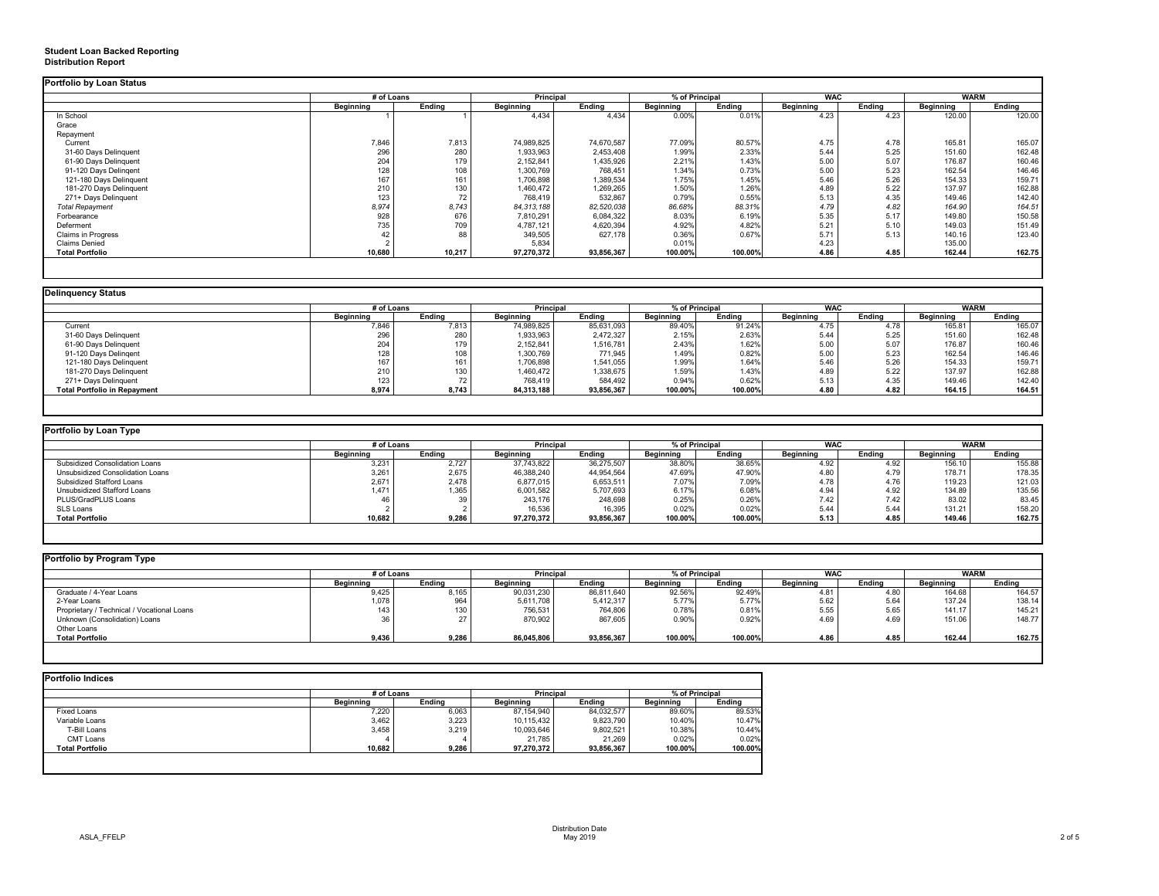# **Student Loan Backed Reporting Distribution Report**

|                           | # of Loans       |               |                  | <b>Principal</b> |                  | % of Principal |                  | <b>WAC</b>    |                  | <b>WARM</b> |
|---------------------------|------------------|---------------|------------------|------------------|------------------|----------------|------------------|---------------|------------------|-------------|
|                           | <b>Beginning</b> | <b>Ending</b> | <b>Beginning</b> | <b>Ending</b>    | <b>Beginning</b> | <b>Ending</b>  | <b>Beginning</b> | <b>Ending</b> | <b>Beginning</b> | Ending      |
| In School                 |                  |               | 4,434            | 4,434            | 0.00%            | 0.01%          | 4.23             | 4.23          | 120.00           | 120.00      |
| Grace                     |                  |               |                  |                  |                  |                |                  |               |                  |             |
| Repayment                 |                  |               |                  |                  |                  |                |                  |               |                  |             |
| Current                   | 7,846            | 7,813         | 74,989,825       | 74,670,587       | 77.09%           | 80.57%         | 4.75             | 4.78          | 165.81           | 165.07      |
| 31-60 Days Delinquent     | 296              | 280           | 1,933,963        | 2,453,408        | 1.99%            | 2.33%          | 5.44             | 5.25          | 151.60           | 162.48      |
| 61-90 Days Delinquent     | 204              | 179           | 2,152,841        | 1,435,926        | 2.21%            | 1.43%          | 5.00             | 5.07          | 176.87           | 160.46      |
| 91-120 Days Delingent     | 128              | 108           | 1,300,769        | 768,451          | 1.34%            | 0.73%          | 5.00             | 5.23          | 162.54           | 146.46      |
| 121-180 Days Delinquent   | 167              | 161           | 1,706,898        | 1,389,534        | 1.75%            | 1.45%          | 5.46             | 5.26          | 154.33           | 159.71      |
| 181-270 Days Delinquent   | 210              | 130           | 1,460,472        | 1,269,265        | 1.50%            | 1.26%          | 4.89             | 5.22          | 137.97           | 162.88      |
| 271+ Days Delinquent      | 123              | 72            | 768,419          | 532,867          | 0.79%            | 0.55%          | 5.13             | 4.35          | 149.46           | 142.40      |
| <b>Total Repayment</b>    | 8,974            | 8,743         | 84, 313, 188     | 82,520,038       | 86.68%           | 88.31%         | 4.79             | 4.82          | 164.90           | 164.51      |
| Forbearance               | 928              | 676           | 7,810,291        | 6,084,322        | 8.03%            | 6.19%          | 5.35             | 5.17          | 149.80           | 150.58      |
| Deferment                 | 735              | 709           | 4,787,121        | 4,620,394        | 4.92%            | 4.82%          | 5.21             | 5.10          | 149.03           | 151.49      |
| <b>Claims in Progress</b> | 42               | 88            | 349,505          | 627,178          | 0.36%            | 0.67%          | 5.71             | 5.13          | 140.16           | 123.40      |
| <b>Claims Denied</b>      |                  |               | 5,834            |                  | 0.01%            |                | 4.23             |               | 135.00           |             |
| <b>Total Portfolio</b>    | 10,680           | 10,217        | 97,270,372       | 93,856,367       | 100.00%          | 100.00%        | 4.86             | 4.85          | 162.44           | 162.75      |

|                                     |                  | # of Loans    |                  | <b>Principal</b> |                  | % of Principal |                  | <b>WAC</b>    |                  | <b>WARM</b>   |  |
|-------------------------------------|------------------|---------------|------------------|------------------|------------------|----------------|------------------|---------------|------------------|---------------|--|
|                                     | <b>Beginning</b> | <b>Ending</b> | <b>Beginning</b> | <b>Ending</b>    | <b>Beginning</b> | <b>Ending</b>  | <b>Beginning</b> | <b>Ending</b> | <b>Beginning</b> | <b>Ending</b> |  |
| Current                             | 7,846            | 7,813         | 74,989,825       | 85,631,093       | 89.40%           | 91.24%         | 4.75             | 4.78          | 165.81           | 165.07        |  |
| 31-60 Days Delinquent               | 296              | 280           | 1,933,963        | 2,472,327        | 2.15%            | 2.63%          | 5.44             | 5.25          | 151.60           | 162.48        |  |
| 61-90 Days Delinquent               | 204              | 179           | 2,152,841        | 1,516,781        | 2.43%            | 1.62%          | 5.00             | 5.07          | 176.87           | 160.46        |  |
| 91-120 Days Delingent               | 128              | 108           | 1,300,769        | 771,945          | 1.49%            | 0.82%          | 5.00             | 5.23          | 162.54           | 146.46        |  |
| 121-180 Days Delinquent             | 167              | 161           | 1,706,898        | 1,541,055        | 1.99%            | 1.64%          | 5.46             | 5.26          | 154.33           | 159.71        |  |
| 181-270 Days Delinquent             | 210              | 130           | 1,460,472        | 1,338,675        | 1.59%            | 1.43%          | 4.89             | 5.22          | 137.97           | 162.88        |  |
| 271+ Days Delinquent                | 123              | 72            | 768,419          | 584,492          | 0.94%            | 0.62%          | 5.13             | 4.35          | 149.46           | 142.40        |  |
| <b>Total Portfolio in Repayment</b> | 8,974            | 8,743         | 84,313,188       | 93,856,367       | 100.00%          | 100.00%        | 4.80             | 4.82          | 164.15           | 164.51        |  |

| 'ortfolio by Loan Type                |                  |        |                  |               |                  |               |                  |               |                  |        |
|---------------------------------------|------------------|--------|------------------|---------------|------------------|---------------|------------------|---------------|------------------|--------|
|                                       | # of Loans       |        | Principal        |               | % of Principal   |               | <b>WAC</b>       |               | <b>WARM</b>      |        |
|                                       | <b>Beginning</b> | Ending | <b>Beginning</b> | <b>Ending</b> | <b>Beginning</b> | <b>Ending</b> | <b>Beginning</b> | <b>Ending</b> | <b>Beginning</b> | Ending |
| <b>Subsidized Consolidation Loans</b> | 3,231            | 2,727  | 37,743,822       | 36,275,507    | 38.80%           | 38.65%        | 4.92             | 4.92          | 156.10           | 155.88 |
| Unsubsidized Consolidation Loans      | 3,261            | 2,675  | 46,388,240       | 44,954,564    | 47.69%           | 47.90%        | 4.80             | 4.79          | 178.71           | 178.35 |
| <b>Subsidized Stafford Loans</b>      | 2,671            | 2,478  | 6,877,015        | 6,653,511     | 7.07%            | 7.09%         | 4.78             | 4.76          | 119.23           | 121.03 |
| <b>Unsubsidized Stafford Loans</b>    | ,471             | 1,365  | 6,001,582        | 5,707,693     | 6.17%            | 6.08%         | 4.94             | 4.92          | 134.89           | 135.56 |
| PLUS/GradPLUS Loans                   | 46               | 39     | 243,176          | 248,698       | 0.25%            | 0.26%         | 7.42             | 7.42          | 83.02            | 83.45  |
| SLS Loans                             |                  |        | 16,536           | 16,395        | 0.02%            | 0.02%         | 5.44             | 5.44          | 131.21           | 158.20 |
| <b>Total Portfolio</b>                | 10,682           | 9,286  | 97,270,372       | 93,856,367    | 100.00%          | 100.00%       | 5.13             | 4.85          | 149.46           | 162.75 |
|                                       |                  |        |                  |               |                  |               |                  |               |                  |        |

|                                            |                  | # of Loans    |                  | <b>Principal</b> |                  | % of Principal |                  | <b>WAC</b>    |                  | <b>WARM</b>   |  |
|--------------------------------------------|------------------|---------------|------------------|------------------|------------------|----------------|------------------|---------------|------------------|---------------|--|
|                                            | <b>Beginning</b> | <b>Ending</b> | <b>Beginning</b> | <b>Ending</b>    | <b>Beginning</b> | <b>Ending</b>  | <b>Beginning</b> | <b>Ending</b> | <b>Beginning</b> | <b>Ending</b> |  |
| Graduate / 4-Year Loans                    | 9,425            | 8,165         | 90,031,230       | 86,811,640       | 92.56%           | 92.49%         | 4.81             | 4.80          | 164.68           | 164.57        |  |
| 2-Year Loans                               | 1,078            | 964           | 5,611,708        | 5,412,317        | 5.77%            | 5.77%          | 5.62             | 5.64          | 137.24           | 138.14        |  |
| Proprietary / Technical / Vocational Loans | 143              | 130           | 756,531          | 764,806          | 0.78%            | 0.81%          | 5.55             | 5.65          | 141.17           | 145.21        |  |
| Unknown (Consolidation) Loans              |                  | 27            | 870,902          | 867,605          | 0.90%            | 0.92%          | 4.69             | 4.69          | 151.06           | 148.77        |  |
| Other Loans                                |                  |               |                  |                  |                  |                |                  |               |                  |               |  |
| <b>Total Portfolio</b>                     | 9,436            | 9,286         | 86,045,806       | 93,856,367       | 100.00%          | 100.00%        | 4.86             | 4.85          | 162.44           | 162.75        |  |

|                        |                  | # of Loans    |                  | <b>Principal</b> |                  | % of Principal |  |
|------------------------|------------------|---------------|------------------|------------------|------------------|----------------|--|
|                        | <b>Beginning</b> | <b>Ending</b> | <b>Beginning</b> | Ending           | <b>Beginning</b> | <b>Ending</b>  |  |
| <b>Fixed Loans</b>     | 7,220            | 6,063         | 87,154,940       | 84,032,577       | 89.60%           | 89.53%         |  |
| Variable Loans         | 3,462            | 3,223         | 10,115,432       | 9,823,790        | 10.40%           | 10.47%         |  |
| T-Bill Loans           | 3,458            | 3,219         | 10,093,646       | 9,802,521        | 10.38%           | 10.44%         |  |
| <b>CMT Loans</b>       |                  |               | 21,785           | 21,269           | 0.02%            | 0.02%          |  |
| <b>Total Portfolio</b> | 10,682           | 9,286         | 97,270,372       | 93,856,367       | 100.00%          | 100.00%        |  |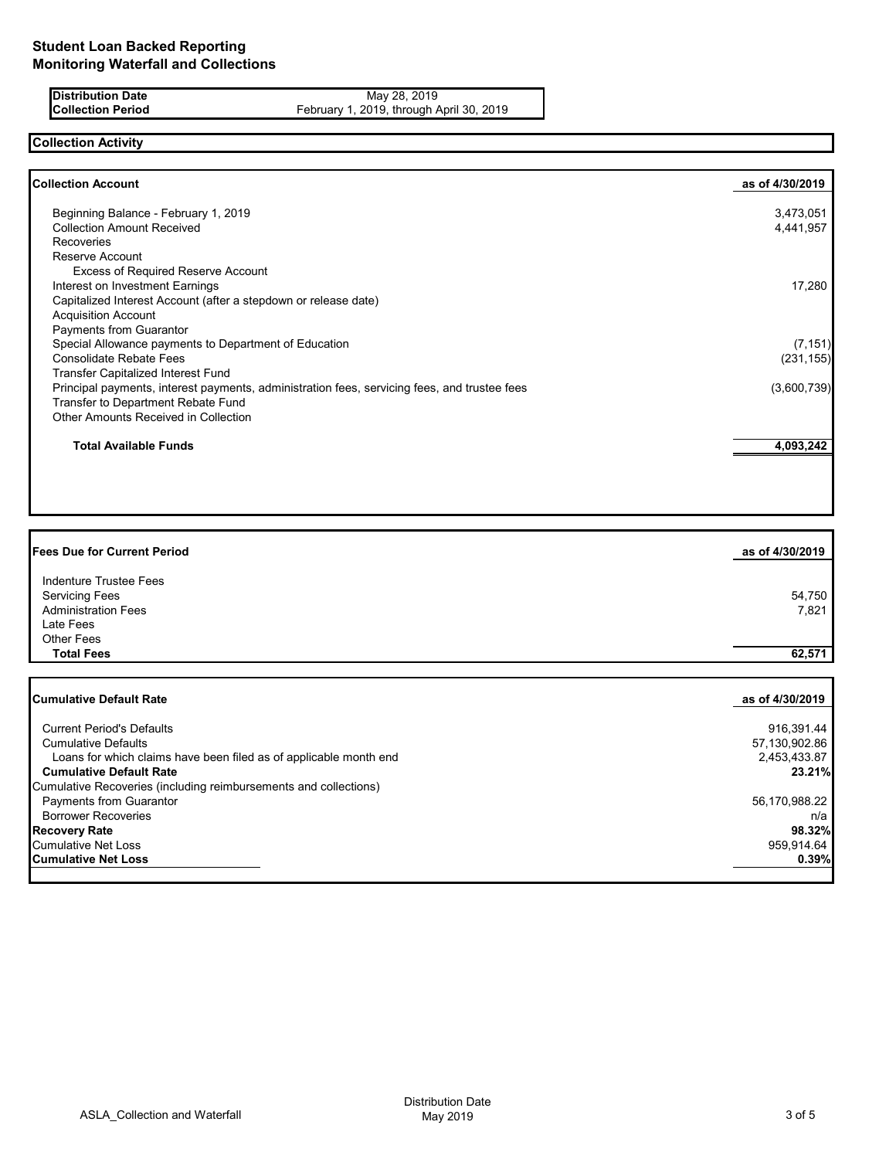**Distribution Date** May 28, 2019<br>**Collection Period** February 1, 2019, through *P* **Collection Period** February 1, 2019, through April 30, 2019

# **Collection Activity**

| <b>Collection Account</b>                                                                    | as of 4/30/2019 |
|----------------------------------------------------------------------------------------------|-----------------|
|                                                                                              |                 |
| Beginning Balance - February 1, 2019                                                         | 3,473,051       |
| <b>Collection Amount Received</b>                                                            | 4,441,957       |
| <b>Recoveries</b>                                                                            |                 |
| Reserve Account                                                                              |                 |
| <b>Excess of Required Reserve Account</b>                                                    |                 |
| Interest on Investment Earnings                                                              | 17,280          |
| Capitalized Interest Account (after a stepdown or release date)                              |                 |
| <b>Acquisition Account</b>                                                                   |                 |
| Payments from Guarantor                                                                      |                 |
| Special Allowance payments to Department of Education                                        | (7, 151)        |
| <b>Consolidate Rebate Fees</b>                                                               | (231, 155)      |
| <b>Transfer Capitalized Interest Fund</b>                                                    |                 |
| Principal payments, interest payments, administration fees, servicing fees, and trustee fees | (3,600,739)     |
| Transfer to Department Rebate Fund                                                           |                 |
| <b>Other Amounts Received in Collection</b>                                                  |                 |
| <b>Total Available Funds</b>                                                                 | 4,093,242       |

| <b>Fees Due for Current Period</b>                                | as of 4/30/2019 |
|-------------------------------------------------------------------|-----------------|
| <b>Indenture Trustee Fees</b>                                     |                 |
| <b>Servicing Fees</b>                                             | 54,750          |
| <b>Administration Fees</b>                                        | 7,821           |
| Late Fees                                                         |                 |
| <b>Other Fees</b>                                                 |                 |
| <b>Total Fees</b>                                                 | 62,571          |
|                                                                   |                 |
| <b>Cumulative Default Rate</b>                                    | as of 4/30/2019 |
| <b>Current Period's Defaults</b>                                  | 916,391.44      |
| <b>Cumulative Defaults</b>                                        | 57,130,902.86   |
| Loans for which claims have been filed as of applicable month end | 2,453,433.87    |
| <b>Cumulative Default Rate</b>                                    | 23.21%          |
| Cumulative Recoveries (including reimbursements and collections)  |                 |
| <b>Payments from Guarantor</b>                                    | 56,170,988.22   |
| <b>Borrower Recoveries</b>                                        | n/a             |
| <b>Recovery Rate</b>                                              | 98.32%          |
| <b>Cumulative Net Loss</b>                                        | 959,914.64      |
| <b>Cumulative Net Loss</b>                                        | 0.39%           |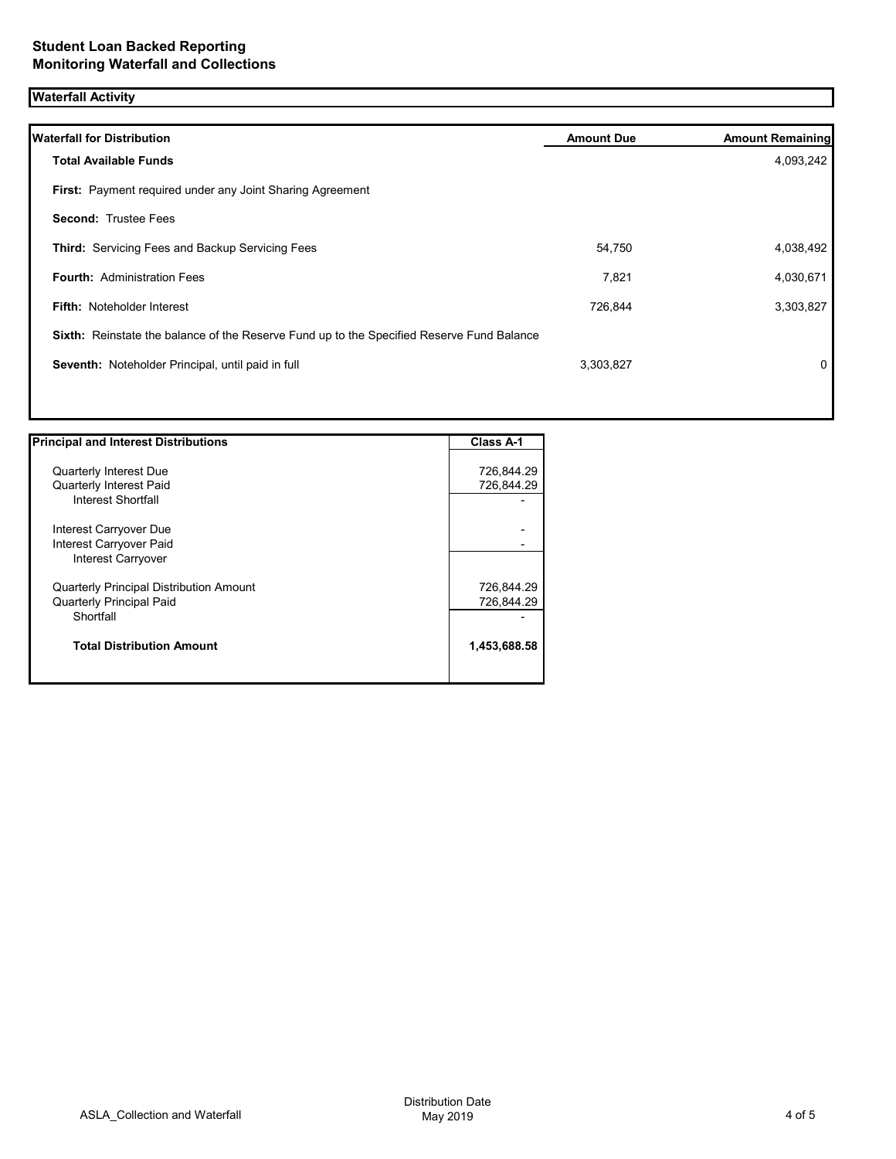# **Waterfall Activity**

| <b>Waterfall for Distribution</b>                                                         | <b>Amount Due</b> | <b>Amount Remaining</b> |
|-------------------------------------------------------------------------------------------|-------------------|-------------------------|
| <b>Total Available Funds</b>                                                              |                   | 4,093,242               |
| First: Payment required under any Joint Sharing Agreement                                 |                   |                         |
| <b>Second: Trustee Fees</b>                                                               |                   |                         |
| Third: Servicing Fees and Backup Servicing Fees                                           | 54,750            | 4,038,492               |
| <b>Fourth: Administration Fees</b>                                                        | 7,821             | 4,030,671               |
| <b>Fifth: Noteholder Interest</b>                                                         | 726,844           | 3,303,827               |
| Sixth: Reinstate the balance of the Reserve Fund up to the Specified Reserve Fund Balance |                   |                         |
| Seventh: Noteholder Principal, until paid in full                                         | 3,303,827         | 0                       |

| <b>Principal and Interest Distributions</b>    | <b>Class A-1</b> |
|------------------------------------------------|------------------|
|                                                |                  |
| <b>Quarterly Interest Due</b>                  | 726,844.29       |
| <b>Quarterly Interest Paid</b>                 | 726,844.29       |
| Interest Shortfall                             |                  |
| Interest Carryover Due                         |                  |
| Interest Carryover Paid                        |                  |
| Interest Carryover                             |                  |
| <b>Quarterly Principal Distribution Amount</b> | 726,844.29       |
| <b>Quarterly Principal Paid</b>                | 726,844.29       |
| Shortfall                                      |                  |
| <b>Total Distribution Amount</b>               | 1,453,688.58     |
|                                                |                  |